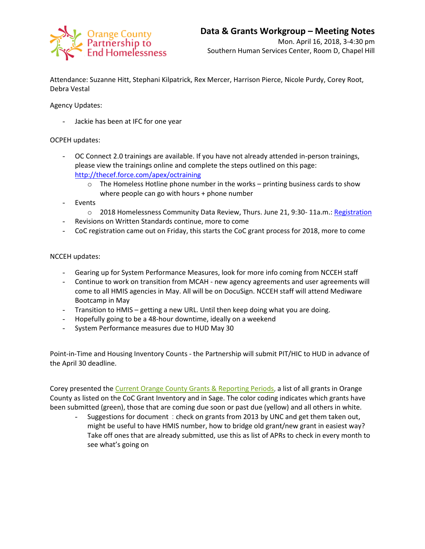

Attendance: Suzanne Hitt, Stephani Kilpatrick, Rex Mercer, Harrison Pierce, Nicole Purdy, Corey Root, Debra Vestal

Agency Updates:

Jackie has been at IFC for one year

## OCPEH updates:

- OC Connect 2.0 trainings are available. If you have not already attended in-person trainings, please view the trainings online and complete the steps outlined on this page: <http://thecef.force.com/apex/octraining>
	- $\circ$  The Homeless Hotline phone number in the works printing business cards to show where people can go with hours + phone number
- **Events** 
	- o 2018 Homelessness Community Data Review, Thurs. June 21, 9:30-11a.m.[: Registration](https://www.eventbrite.com/e/2018-homelessness-community-data-review-tickets-44925443210)
- Revisions on Written Standards continue, more to come
- CoC registration came out on Friday, this starts the CoC grant process for 2018, more to come

## NCCEH updates:

- Gearing up for System Performance Measures, look for more info coming from NCCEH staff
- Continue to work on transition from MCAH new agency agreements and user agreements will come to all HMIS agencies in May. All will be on DocuSign. NCCEH staff will attend Mediware Bootcamp in May
- Transition to HMIS getting a new URL. Until then keep doing what you are doing.
- Hopefully going to be a 48-hour downtime, ideally on a weekend
- System Performance measures due to HUD May 30

Point-in-Time and Housing Inventory Counts - the Partnership will submit PIT/HIC to HUD in advance of the April 30 deadline.

Corey presented the Current Orange County Grants & [Reporting](https://docs.wixstatic.com/ugd/750b3b_2fac6b22316745368bc0944d52a9695c.pdf) Periods, a list of all grants in Orange County as listed on the CoC Grant Inventory and in Sage. The color coding indicates which grants have been submitted (green), those that are coming due soon or past due (yellow) and all others in white.

Suggestions for document : check on grants from 2013 by UNC and get them taken out, might be useful to have HMIS number, how to bridge old grant/new grant in easiest way? Take off ones that are already submitted, use this as list of APRs to check in every month to see what's going on